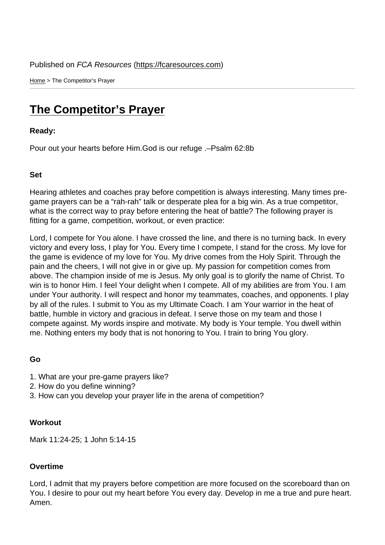Home > The Competitor's Prayer

## [The](https://fcaresources.com/) Competitor's Prayer

Ready:

[Pour out your hearts before Him.God is](https://fcaresources.com/devotional/competitor’s-prayer) our refuge .–Psalm 62:8b

Set

Hearing athletes and coaches pray before competition is always interesting. Many times pregame prayers can be a "rah-rah" talk or desperate plea for a big win. As a true competitor, what is the correct way to pray before entering the heat of battle? The following prayer is fitting for a game, competition, workout, or even practice:

Lord, I compete for You alone. I have crossed the line, and there is no turning back. In every victory and every loss, I play for You. Every time I compete, I stand for the cross. My love for the game is evidence of my love for You. My drive comes from the Holy Spirit. Through the pain and the cheers, I will not give in or give up. My passion for competition comes from above. The champion inside of me is Jesus. My only goal is to glorify the name of Christ. To win is to honor Him. I feel Your delight when I compete. All of my abilities are from You. I am under Your authority. I will respect and honor my teammates, coaches, and opponents. I play by all of the rules. I submit to You as my Ultimate Coach. I am Your warrior in the heat of battle, humble in victory and gracious in defeat. I serve those on my team and those I compete against. My words inspire and motivate. My body is Your temple. You dwell within me. Nothing enters my body that is not honoring to You. I train to bring You glory.

Go

- 1. What are your pre-game prayers like?
- 2. How do you define winning?
- 3. How can you develop your prayer life in the arena of competition?

**Workout** 

Mark 11:24-25; 1 John 5:14-15

## **Overtime**

Lord, I admit that my prayers before competition are more focused on the scoreboard than on You. I desire to pour out my heart before You every day. Develop in me a true and pure heart. Amen.